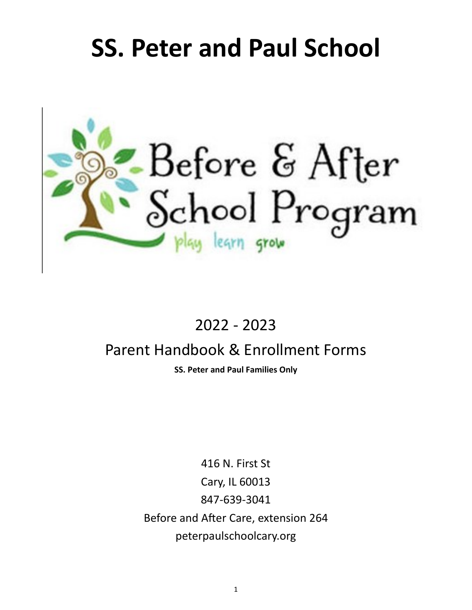# **SS. Peter and Paul School**



# 2022 - 2023

# Parent Handbook & Enrollment Forms

**SS. Peter and Paul Families Only** 

416 N. First St Cary, IL 60013 847-639-3041 Before and After Care, extension 264 peterpaulschoolcary.org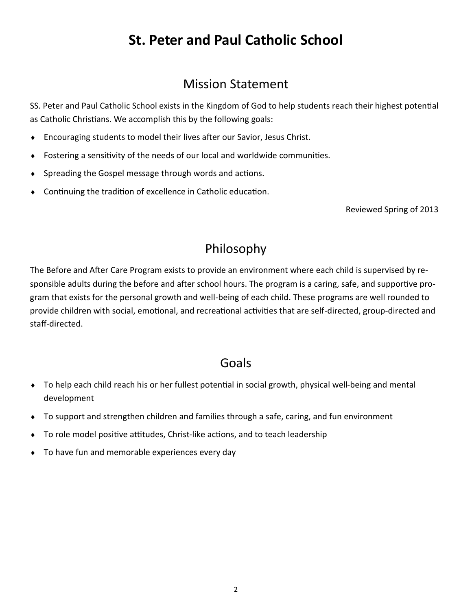### **St. Peter and Paul Catholic School**

### Mission Statement

SS. Peter and Paul Catholic School exists in the Kingdom of God to help students reach their highest potential as Catholic Christians. We accomplish this by the following goals:

- Encouraging students to model their lives after our Savior, Jesus Christ.
- Fostering a sensitivity of the needs of our local and worldwide communities.
- ◆ Spreading the Gospel message through words and actions.
- Continuing the tradition of excellence in Catholic education.

Reviewed Spring of 2013

### Philosophy

The Before and After Care Program exists to provide an environment where each child is supervised by responsible adults during the before and after school hours. The program is a caring, safe, and supportive program that exists for the personal growth and well-being of each child. These programs are well rounded to provide children with social, emotional, and recreational activities that are self-directed, group-directed and staff-directed.

### Goals

- To help each child reach his or her fullest potential in social growth, physical well-being and mental development
- To support and strengthen children and families through a safe, caring, and fun environment
- To role model positive attitudes, Christ-like actions, and to teach leadership
- To have fun and memorable experiences every day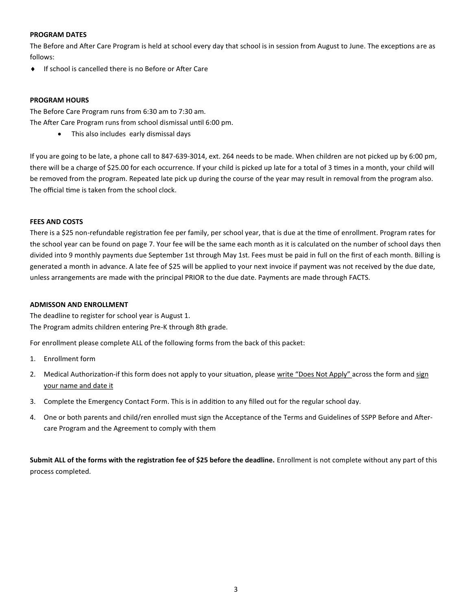#### **PROGRAM DATES**

The Before and After Care Program is held at school every day that school is in session from August to June. The exceptions are as follows:

If school is cancelled there is no Before or After Care

#### **PROGRAM HOURS**

The Before Care Program runs from 6:30 am to 7:30 am.

The After Care Program runs from school dismissal until 6:00 pm.

• This also includes early dismissal days

If you are going to be late, a phone call to 847-639-3014, ext. 264 needs to be made. When children are not picked up by 6:00 pm, there will be a charge of \$25.00 for each occurrence. If your child is picked up late for a total of 3 times in a month, your child will be removed from the program. Repeated late pick up during the course of the year may result in removal from the program also. The official time is taken from the school clock.

#### **FEES AND COSTS**

There is a \$25 non-refundable registration fee per family, per school year, that is due at the time of enrollment. Program rates for the school year can be found on page 7. Your fee will be the same each month as it is calculated on the number of school days then divided into 9 monthly payments due September 1st through May 1st. Fees must be paid in full on the first of each month. Billing is generated a month in advance. A late fee of \$25 will be applied to your next invoice if payment was not received by the due date, unless arrangements are made with the principal PRIOR to the due date. Payments are made through FACTS.

#### **ADMISSON AND ENROLLMENT**

The deadline to register for school year is August 1. The Program admits children entering Pre-K through 8th grade.

For enrollment please complete ALL of the following forms from the back of this packet:

- 1. Enrollment form
- 2. Medical Authorization-if this form does not apply to your situation, please write "Does Not Apply" across the form and sign your name and date it
- 3. Complete the Emergency Contact Form. This is in addition to any filled out for the regular school day.
- 4. One or both parents and child/ren enrolled must sign the Acceptance of the Terms and Guidelines of SSPP Before and Aftercare Program and the Agreement to comply with them

**Submit ALL of the forms with the registration fee of \$25 before the deadline.** Enrollment is not complete without any part of this process completed.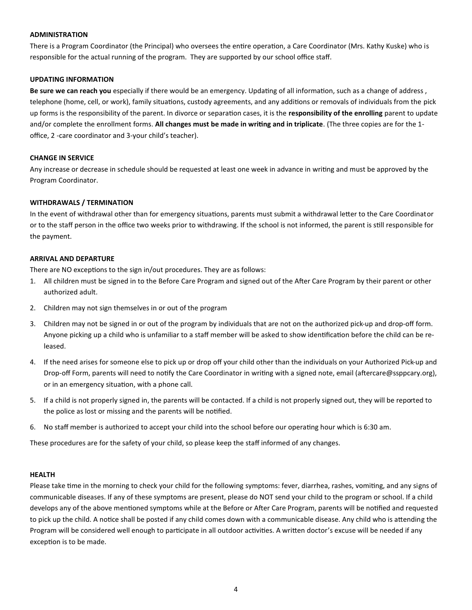#### **ADMINISTRATION**

There is a Program Coordinator (the Principal) who oversees the entire operation, a Care Coordinator (Mrs. Kathy Kuske) who is responsible for the actual running of the program. They are supported by our school office staff.

#### **UPDATING INFORMATION**

**Be sure we can reach you** especially if there would be an emergency. Updating of all information, such as a change of address , telephone (home, cell, or work), family situations, custody agreements, and any additions or removals of individuals from the pick up forms is the responsibility of the parent. In divorce or separation cases, it is the **responsibility of the enrolling** parent to update and/or complete the enrollment forms. **All changes must be made in writing and in triplicate**. (The three copies are for the 1 office, 2 -care coordinator and 3-your child's teacher).

#### **CHANGE IN SERVICE**

Any increase or decrease in schedule should be requested at least one week in advance in writing and must be approved by the Program Coordinator.

#### **WITHDRAWALS / TERMINATION**

In the event of withdrawal other than for emergency situations, parents must submit a withdrawal letter to the Care Coordinator or to the staff person in the office two weeks prior to withdrawing. If the school is not informed, the parent is still responsible for the payment.

#### **ARRIVAL AND DEPARTURE**

There are NO exceptions to the sign in/out procedures. They are as follows:

- 1. All children must be signed in to the Before Care Program and signed out of the After Care Program by their parent or other authorized adult.
- 2. Children may not sign themselves in or out of the program
- 3. Children may not be signed in or out of the program by individuals that are not on the authorized pick-up and drop-off form. Anyone picking up a child who is unfamiliar to a staff member will be asked to show identification before the child can be released.
- 4. If the need arises for someone else to pick up or drop off your child other than the individuals on your Authorized Pick-up and Drop-off Form, parents will need to notify the Care Coordinator in writing with a signed note, email (aftercare@ssppcary.org), or in an emergency situation, with a phone call.
- 5. If a child is not properly signed in, the parents will be contacted. If a child is not properly signed out, they will be reported to the police as lost or missing and the parents will be notified.
- 6. No staff member is authorized to accept your child into the school before our operating hour which is 6:30 am.

These procedures are for the safety of your child, so please keep the staff informed of any changes.

#### **HEALTH**

Please take time in the morning to check your child for the following symptoms: fever, diarrhea, rashes, vomiting, and any signs of communicable diseases. If any of these symptoms are present, please do NOT send your child to the program or school. If a child develops any of the above mentioned symptoms while at the Before or After Care Program, parents will be notified and requested to pick up the child. A notice shall be posted if any child comes down with a communicable disease. Any child who is attending the Program will be considered well enough to participate in all outdoor activities. A written doctor's excuse will be needed if any exception is to be made.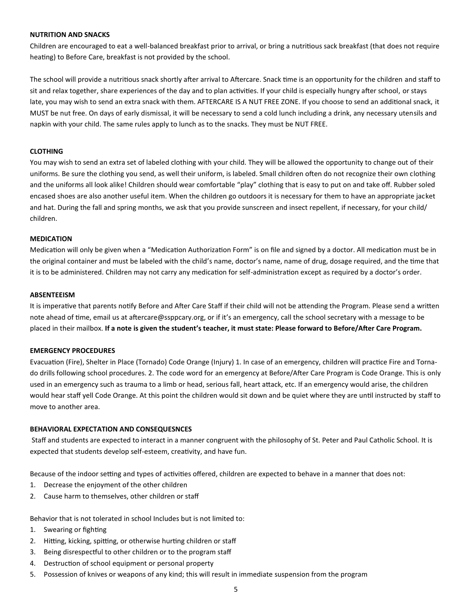#### **NUTRITION AND SNACKS**

Children are encouraged to eat a well-balanced breakfast prior to arrival, or bring a nutritious sack breakfast (that does not require heating) to Before Care, breakfast is not provided by the school.

The school will provide a nutritious snack shortly after arrival to Aftercare. Snack time is an opportunity for the children and staff to sit and relax together, share experiences of the day and to plan activities. If your child is especially hungry after school, or stays late, you may wish to send an extra snack with them. AFTERCARE IS A NUT FREE ZONE. If you choose to send an additional snack, it MUST be nut free. On days of early dismissal, it will be necessary to send a cold lunch including a drink, any necessary utensils and napkin with your child. The same rules apply to lunch as to the snacks. They must be NUT FREE.

#### **CLOTHING**

You may wish to send an extra set of labeled clothing with your child. They will be allowed the opportunity to change out of their uniforms. Be sure the clothing you send, as well their uniform, is labeled. Small children often do not recognize their own clothing and the uniforms all look alike! Children should wear comfortable "play" clothing that is easy to put on and take off. Rubber soled encased shoes are also another useful item. When the children go outdoors it is necessary for them to have an appropriate jacket and hat. During the fall and spring months, we ask that you provide sunscreen and insect repellent, if necessary, for your child/ children.

#### **MEDICATION**

Medication will only be given when a "Medication Authorization Form" is on file and signed by a doctor. All medication must be in the original container and must be labeled with the child's name, doctor's name, name of drug, dosage required, and the time that it is to be administered. Children may not carry any medication for self-administration except as required by a doctor's order.

#### **ABSENTEEISM**

It is imperative that parents notify Before and After Care Staff if their child will not be attending the Program. Please send a written note ahead of time, email us at aftercare@ssppcary.org, or if it's an emergency, call the school secretary with a message to be placed in their mailbox. **If a note is given the student's teacher, it must state: Please forward to Before/After Care Program.** 

#### **EMERGENCY PROCEDURES**

Evacuation (Fire), Shelter in Place (Tornado) Code Orange (Injury) 1. In case of an emergency, children will practice Fire and Tornado drills following school procedures. 2. The code word for an emergency at Before/After Care Program is Code Orange. This is only used in an emergency such as trauma to a limb or head, serious fall, heart attack, etc. If an emergency would arise, the children would hear staff yell Code Orange. At this point the children would sit down and be quiet where they are until instructed by staff to move to another area.

#### **BEHAVIORAL EXPECTATION AND CONSEQUESNCES**

Staff and students are expected to interact in a manner congruent with the philosophy of St. Peter and Paul Catholic School. It is expected that students develop self-esteem, creativity, and have fun.

Because of the indoor setting and types of activities offered, children are expected to behave in a manner that does not:

- 1. Decrease the enjoyment of the other children
- 2. Cause harm to themselves, other children or staff

Behavior that is not tolerated in school Includes but is not limited to:

- 1. Swearing or fighting
- 2. Hitting, kicking, spitting, or otherwise hurting children or staff
- 3. Being disrespectful to other children or to the program staff
- 4. Destruction of school equipment or personal property
- 5. Possession of knives or weapons of any kind; this will result in immediate suspension from the program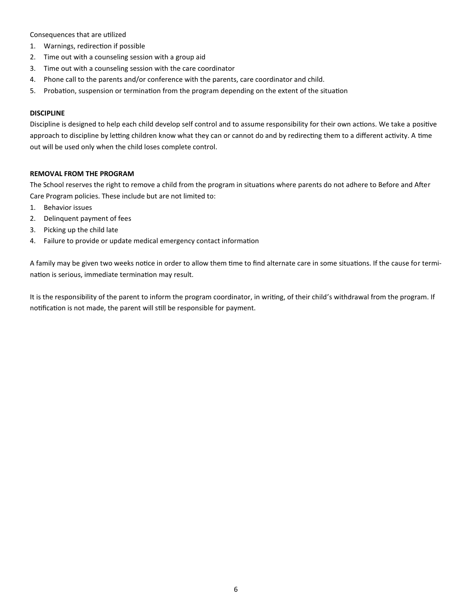Consequences that are utilized

- 1. Warnings, redirection if possible
- 2. Time out with a counseling session with a group aid
- 3. Time out with a counseling session with the care coordinator
- 4. Phone call to the parents and/or conference with the parents, care coordinator and child.
- 5. Probation, suspension or termination from the program depending on the extent of the situation

#### **DISCIPLINE**

Discipline is designed to help each child develop self control and to assume responsibility for their own actions. We take a positive approach to discipline by letting children know what they can or cannot do and by redirecting them to a different activity. A time out will be used only when the child loses complete control.

#### **REMOVAL FROM THE PROGRAM**

The School reserves the right to remove a child from the program in situations where parents do not adhere to Before and After Care Program policies. These include but are not limited to:

- 1. Behavior issues
- 2. Delinquent payment of fees
- 3. Picking up the child late
- 4. Failure to provide or update medical emergency contact information

A family may be given two weeks notice in order to allow them time to find alternate care in some situations. If the cause for termination is serious, immediate termination may result.

It is the responsibility of the parent to inform the program coordinator, in writing, of their child's withdrawal from the program. If notification is not made, the parent will still be responsible for payment.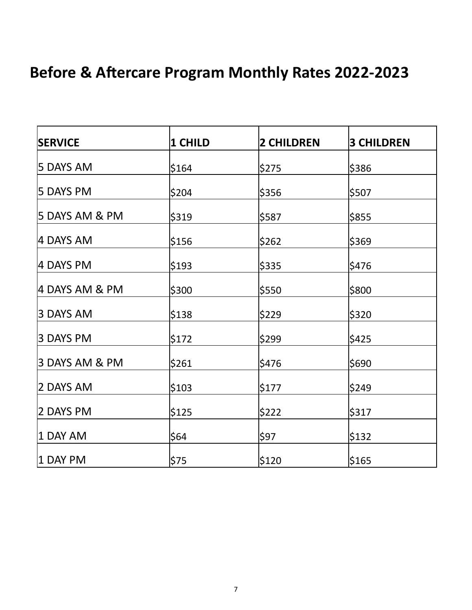# **Before & Aftercare Program Monthly Rates 2022-2023**

| <b>SERVICE</b> | 1 CHILD | <b>2 CHILDREN</b> | <b>3 CHILDREN</b> |
|----------------|---------|-------------------|-------------------|
| 5 DAYS AM      | \$164   | \$275             | \$386             |
| 5 DAYS PM      | \$204   | \$356             | \$507             |
| 5 DAYS AM & PM | \$319   | \$587             | \$855             |
| 4 DAYS AM      | \$156   | \$262             | \$369             |
| 4 DAYS PM      | \$193   | \$335             | \$476             |
| 4 DAYS AM & PM | \$300   | \$550             | \$800             |
| 3 DAYS AM      | \$138   | \$229             | \$320             |
| 3 DAYS PM      | \$172   | \$299             | \$425             |
| 3 DAYS AM & PM | \$261   | \$476             | \$690             |
| 2 DAYS AM      | \$103   | \$177             | \$249             |
| 2 DAYS PM      | \$125   | \$222             | \$317             |
| 1 DAY AM       | \$64    | \$97              | \$132             |
| 1 DAY PM       | \$75    | \$120             | \$165             |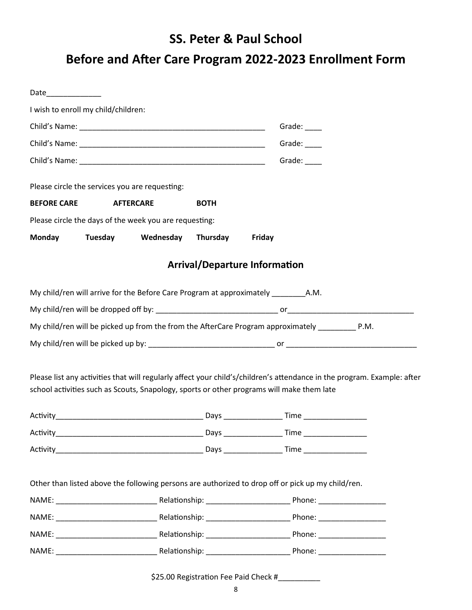# **SS. Peter & Paul School Before and After Care Program 2022-2023 Enrollment Form**

| Date______________                  |         |                                                                                       |                                      |        |                                                                                                   |                                                                                                                         |
|-------------------------------------|---------|---------------------------------------------------------------------------------------|--------------------------------------|--------|---------------------------------------------------------------------------------------------------|-------------------------------------------------------------------------------------------------------------------------|
| I wish to enroll my child/children: |         |                                                                                       |                                      |        |                                                                                                   |                                                                                                                         |
|                                     |         |                                                                                       |                                      |        | Grade: ____                                                                                       |                                                                                                                         |
|                                     |         |                                                                                       |                                      |        | Grade:                                                                                            |                                                                                                                         |
|                                     |         |                                                                                       |                                      |        | Grade:                                                                                            |                                                                                                                         |
|                                     |         | Please circle the services you are requesting:                                        |                                      |        |                                                                                                   |                                                                                                                         |
| <b>BEFORE CARE</b>                  |         | <b>AFTERCARE</b>                                                                      | <b>BOTH</b>                          |        |                                                                                                   |                                                                                                                         |
|                                     |         | Please circle the days of the week you are requesting:                                |                                      |        |                                                                                                   |                                                                                                                         |
| Monday                              | Tuesday | Wednesday                                                                             | Thursday                             | Friday |                                                                                                   |                                                                                                                         |
|                                     |         |                                                                                       | <b>Arrival/Departure Information</b> |        |                                                                                                   |                                                                                                                         |
|                                     |         | My child/ren will arrive for the Before Care Program at approximately __________ A.M. |                                      |        |                                                                                                   |                                                                                                                         |
|                                     |         |                                                                                       |                                      |        |                                                                                                   |                                                                                                                         |
|                                     |         |                                                                                       |                                      |        | My child/ren will be picked up from the from the AfterCare Program approximately _________ P.M.   |                                                                                                                         |
|                                     |         |                                                                                       |                                      |        |                                                                                                   |                                                                                                                         |
|                                     |         |                                                                                       |                                      |        | school activities such as Scouts, Snapology, sports or other programs will make them late         | Please list any activities that will regularly affect your child's/children's attendance in the program. Example: after |
|                                     |         |                                                                                       |                                      |        |                                                                                                   |                                                                                                                         |
|                                     |         |                                                                                       |                                      |        |                                                                                                   |                                                                                                                         |
|                                     |         |                                                                                       |                                      |        |                                                                                                   |                                                                                                                         |
|                                     |         |                                                                                       |                                      |        | Other than listed above the following persons are authorized to drop off or pick up my child/ren. |                                                                                                                         |
|                                     |         |                                                                                       |                                      |        |                                                                                                   |                                                                                                                         |
|                                     |         |                                                                                       |                                      |        |                                                                                                   |                                                                                                                         |
|                                     |         |                                                                                       |                                      |        |                                                                                                   |                                                                                                                         |
|                                     |         |                                                                                       |                                      |        |                                                                                                   |                                                                                                                         |

\$25.00 Registration Fee Paid Check #\_\_\_\_\_\_\_\_\_\_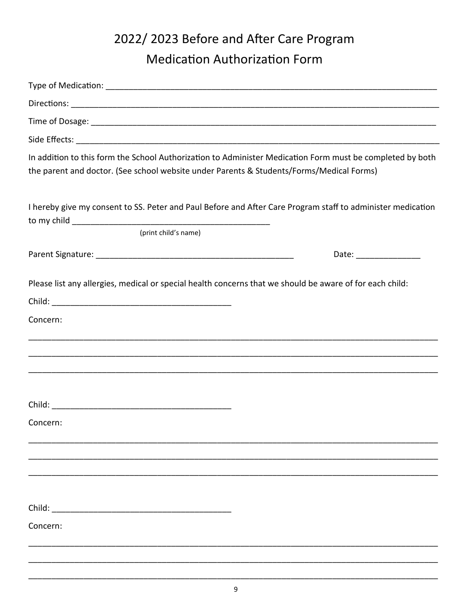## 2022/2023 Before and After Care Program **Medication Authorization Form**

| In addition to this form the School Authorization to Administer Medication Form must be completed by both<br>the parent and doctor. (See school website under Parents & Students/Forms/Medical Forms) |
|-------------------------------------------------------------------------------------------------------------------------------------------------------------------------------------------------------|
| I hereby give my consent to SS. Peter and Paul Before and After Care Program staff to administer medication<br>(print child's name)                                                                   |
| Date: ________________                                                                                                                                                                                |
| Please list any allergies, medical or special health concerns that we should be aware of for each child:                                                                                              |
|                                                                                                                                                                                                       |
| Concern:                                                                                                                                                                                              |
|                                                                                                                                                                                                       |
|                                                                                                                                                                                                       |
|                                                                                                                                                                                                       |
| Concern:                                                                                                                                                                                              |
|                                                                                                                                                                                                       |
|                                                                                                                                                                                                       |
|                                                                                                                                                                                                       |
|                                                                                                                                                                                                       |
| Concern:                                                                                                                                                                                              |
|                                                                                                                                                                                                       |